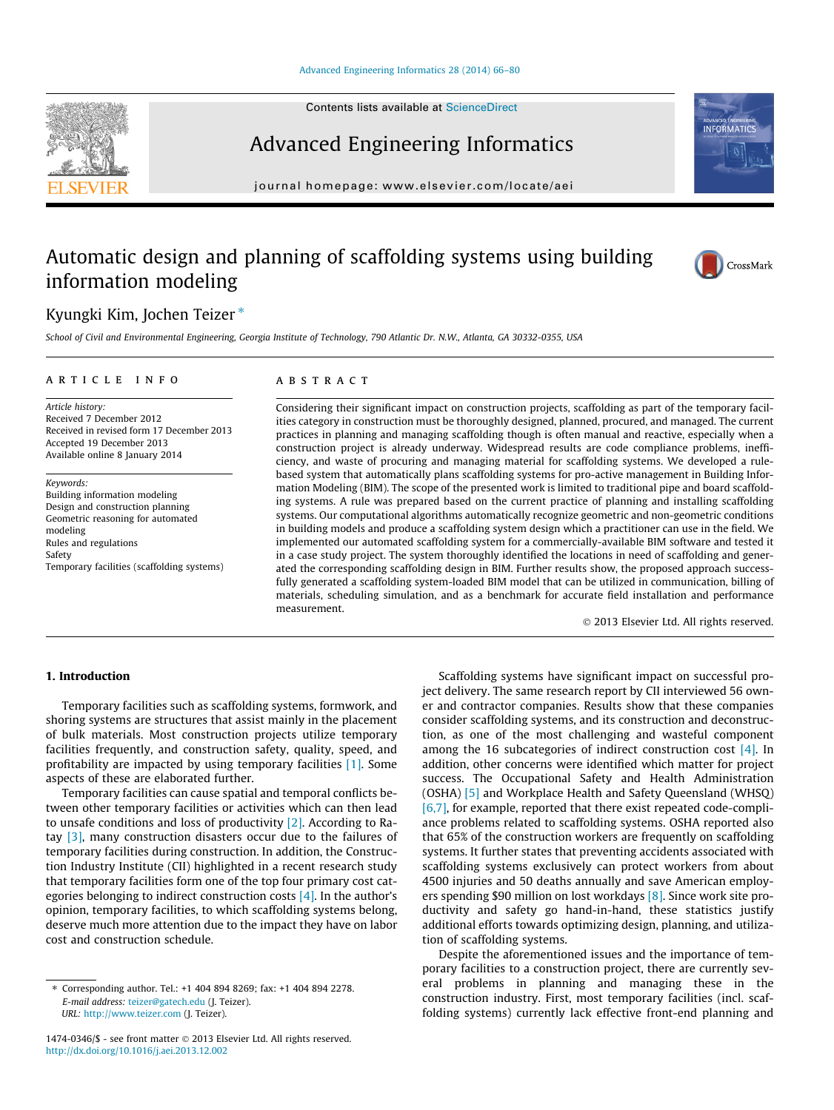Contents lists available at [ScienceDirect](http://www.sciencedirect.com/science/journal/14740346)

## Advanced Engineering Informatics

journal homepage: [www.elsevier.com/locate/aei](http://www.elsevier.com/locate/aei)

# Automatic design and planning of scaffolding systems using building

### Kyungki Kim, Jochen Teizer<sup>\*</sup>

information modeling

School of Civil and Environmental Engineering, Georgia Institute of Technology, 790 Atlantic Dr. N.W., Atlanta, GA 30332-0355, USA

#### article info

Article history: Received 7 December 2012 Received in revised form 17 December 2013 Accepted 19 December 2013 Available online 8 January 2014

Keywords: Building information modeling Design and construction planning Geometric reasoning for automated modeling Rules and regulations Safety Temporary facilities (scaffolding systems)

#### **ABSTRACT**

Considering their significant impact on construction projects, scaffolding as part of the temporary facilities category in construction must be thoroughly designed, planned, procured, and managed. The current practices in planning and managing scaffolding though is often manual and reactive, especially when a construction project is already underway. Widespread results are code compliance problems, inefficiency, and waste of procuring and managing material for scaffolding systems. We developed a rulebased system that automatically plans scaffolding systems for pro-active management in Building Information Modeling (BIM). The scope of the presented work is limited to traditional pipe and board scaffolding systems. A rule was prepared based on the current practice of planning and installing scaffolding systems. Our computational algorithms automatically recognize geometric and non-geometric conditions in building models and produce a scaffolding system design which a practitioner can use in the field. We implemented our automated scaffolding system for a commercially-available BIM software and tested it in a case study project. The system thoroughly identified the locations in need of scaffolding and generated the corresponding scaffolding design in BIM. Further results show, the proposed approach successfully generated a scaffolding system-loaded BIM model that can be utilized in communication, billing of materials, scheduling simulation, and as a benchmark for accurate field installation and performance measurement.

- 2013 Elsevier Ltd. All rights reserved.

#### 1. Introduction

Temporary facilities such as scaffolding systems, formwork, and shoring systems are structures that assist mainly in the placement of bulk materials. Most construction projects utilize temporary facilities frequently, and construction safety, quality, speed, and profitability are impacted by using temporary facilities [\[1\]](#page--1-0). Some aspects of these are elaborated further.

Temporary facilities can cause spatial and temporal conflicts between other temporary facilities or activities which can then lead to unsafe conditions and loss of productivity [\[2\].](#page--1-0) According to Ratay [\[3\],](#page--1-0) many construction disasters occur due to the failures of temporary facilities during construction. In addition, the Construction Industry Institute (CII) highlighted in a recent research study that temporary facilities form one of the top four primary cost categories belonging to indirect construction costs [\[4\].](#page--1-0) In the author's opinion, temporary facilities, to which scaffolding systems belong, deserve much more attention due to the impact they have on labor cost and construction schedule.

Scaffolding systems have significant impact on successful project delivery. The same research report by CII interviewed 56 owner and contractor companies. Results show that these companies consider scaffolding systems, and its construction and deconstruction, as one of the most challenging and wasteful component among the 16 subcategories of indirect construction cost  $[4]$ . In addition, other concerns were identified which matter for project success. The Occupational Safety and Health Administration (OSHA) [\[5\]](#page--1-0) and Workplace Health and Safety Queensland (WHSQ) [\[6,7\]](#page--1-0), for example, reported that there exist repeated code-compliance problems related to scaffolding systems. OSHA reported also that 65% of the construction workers are frequently on scaffolding systems. It further states that preventing accidents associated with scaffolding systems exclusively can protect workers from about 4500 injuries and 50 deaths annually and save American employ-ers spending \$90 million on lost workdays [\[8\].](#page--1-0) Since work site productivity and safety go hand-in-hand, these statistics justify additional efforts towards optimizing design, planning, and utilization of scaffolding systems.

Despite the aforementioned issues and the importance of temporary facilities to a construction project, there are currently several problems in planning and managing these in the construction industry. First, most temporary facilities (incl. scaffolding systems) currently lack effective front-end planning and







<sup>⇑</sup> Corresponding author. Tel.: +1 404 894 8269; fax: +1 404 894 2278. E-mail address: [teizer@gatech.edu](mailto:teizer@gatech.edu) (J. Teizer). URL: <http://www.teizer.com> (J. Teizer).

<sup>1474-0346/\$ -</sup> see front matter © 2013 Elsevier Ltd. All rights reserved. <http://dx.doi.org/10.1016/j.aei.2013.12.002>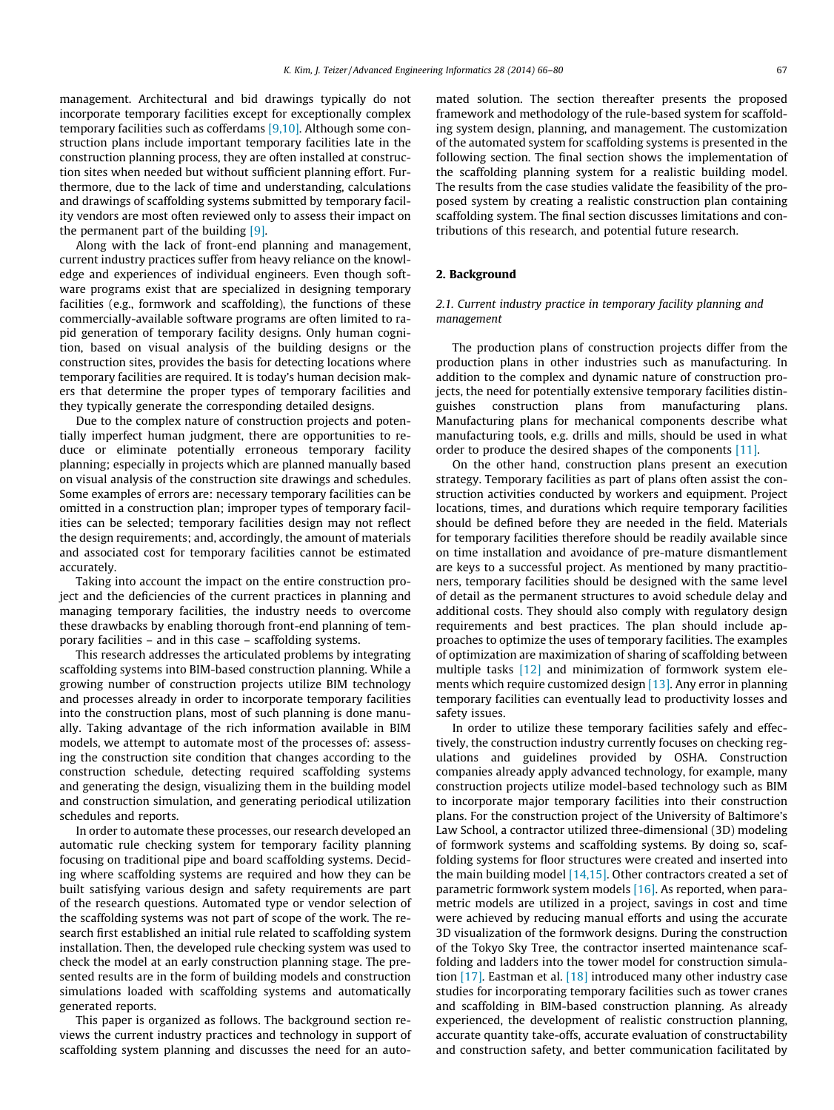management. Architectural and bid drawings typically do not incorporate temporary facilities except for exceptionally complex temporary facilities such as cofferdams [\[9,10\].](#page--1-0) Although some construction plans include important temporary facilities late in the construction planning process, they are often installed at construction sites when needed but without sufficient planning effort. Furthermore, due to the lack of time and understanding, calculations and drawings of scaffolding systems submitted by temporary facility vendors are most often reviewed only to assess their impact on the permanent part of the building [\[9\]](#page--1-0).

Along with the lack of front-end planning and management, current industry practices suffer from heavy reliance on the knowledge and experiences of individual engineers. Even though software programs exist that are specialized in designing temporary facilities (e.g., formwork and scaffolding), the functions of these commercially-available software programs are often limited to rapid generation of temporary facility designs. Only human cognition, based on visual analysis of the building designs or the construction sites, provides the basis for detecting locations where temporary facilities are required. It is today's human decision makers that determine the proper types of temporary facilities and they typically generate the corresponding detailed designs.

Due to the complex nature of construction projects and potentially imperfect human judgment, there are opportunities to reduce or eliminate potentially erroneous temporary facility planning; especially in projects which are planned manually based on visual analysis of the construction site drawings and schedules. Some examples of errors are: necessary temporary facilities can be omitted in a construction plan; improper types of temporary facilities can be selected; temporary facilities design may not reflect the design requirements; and, accordingly, the amount of materials and associated cost for temporary facilities cannot be estimated accurately.

Taking into account the impact on the entire construction project and the deficiencies of the current practices in planning and managing temporary facilities, the industry needs to overcome these drawbacks by enabling thorough front-end planning of temporary facilities – and in this case – scaffolding systems.

This research addresses the articulated problems by integrating scaffolding systems into BIM-based construction planning. While a growing number of construction projects utilize BIM technology and processes already in order to incorporate temporary facilities into the construction plans, most of such planning is done manually. Taking advantage of the rich information available in BIM models, we attempt to automate most of the processes of: assessing the construction site condition that changes according to the construction schedule, detecting required scaffolding systems and generating the design, visualizing them in the building model and construction simulation, and generating periodical utilization schedules and reports.

In order to automate these processes, our research developed an automatic rule checking system for temporary facility planning focusing on traditional pipe and board scaffolding systems. Deciding where scaffolding systems are required and how they can be built satisfying various design and safety requirements are part of the research questions. Automated type or vendor selection of the scaffolding systems was not part of scope of the work. The research first established an initial rule related to scaffolding system installation. Then, the developed rule checking system was used to check the model at an early construction planning stage. The presented results are in the form of building models and construction simulations loaded with scaffolding systems and automatically generated reports.

This paper is organized as follows. The background section reviews the current industry practices and technology in support of scaffolding system planning and discusses the need for an automated solution. The section thereafter presents the proposed framework and methodology of the rule-based system for scaffolding system design, planning, and management. The customization of the automated system for scaffolding systems is presented in the following section. The final section shows the implementation of the scaffolding planning system for a realistic building model. The results from the case studies validate the feasibility of the proposed system by creating a realistic construction plan containing scaffolding system. The final section discusses limitations and contributions of this research, and potential future research.

#### 2. Background

#### 2.1. Current industry practice in temporary facility planning and management

The production plans of construction projects differ from the production plans in other industries such as manufacturing. In addition to the complex and dynamic nature of construction projects, the need for potentially extensive temporary facilities distinguishes construction plans from manufacturing plans. Manufacturing plans for mechanical components describe what manufacturing tools, e.g. drills and mills, should be used in what order to produce the desired shapes of the components [\[11\]](#page--1-0).

On the other hand, construction plans present an execution strategy. Temporary facilities as part of plans often assist the construction activities conducted by workers and equipment. Project locations, times, and durations which require temporary facilities should be defined before they are needed in the field. Materials for temporary facilities therefore should be readily available since on time installation and avoidance of pre-mature dismantlement are keys to a successful project. As mentioned by many practitioners, temporary facilities should be designed with the same level of detail as the permanent structures to avoid schedule delay and additional costs. They should also comply with regulatory design requirements and best practices. The plan should include approaches to optimize the uses of temporary facilities. The examples of optimization are maximization of sharing of scaffolding between multiple tasks [\[12\]](#page--1-0) and minimization of formwork system elements which require customized design [\[13\].](#page--1-0) Any error in planning temporary facilities can eventually lead to productivity losses and safety issues.

In order to utilize these temporary facilities safely and effectively, the construction industry currently focuses on checking regulations and guidelines provided by OSHA. Construction companies already apply advanced technology, for example, many construction projects utilize model-based technology such as BIM to incorporate major temporary facilities into their construction plans. For the construction project of the University of Baltimore's Law School, a contractor utilized three-dimensional (3D) modeling of formwork systems and scaffolding systems. By doing so, scaffolding systems for floor structures were created and inserted into the main building model [\[14,15\]](#page--1-0). Other contractors created a set of parametric formwork system models [\[16\]](#page--1-0). As reported, when parametric models are utilized in a project, savings in cost and time were achieved by reducing manual efforts and using the accurate 3D visualization of the formwork designs. During the construction of the Tokyo Sky Tree, the contractor inserted maintenance scaffolding and ladders into the tower model for construction simulation [\[17\]](#page--1-0). Eastman et al. [\[18\]](#page--1-0) introduced many other industry case studies for incorporating temporary facilities such as tower cranes and scaffolding in BIM-based construction planning. As already experienced, the development of realistic construction planning, accurate quantity take-offs, accurate evaluation of constructability and construction safety, and better communication facilitated by